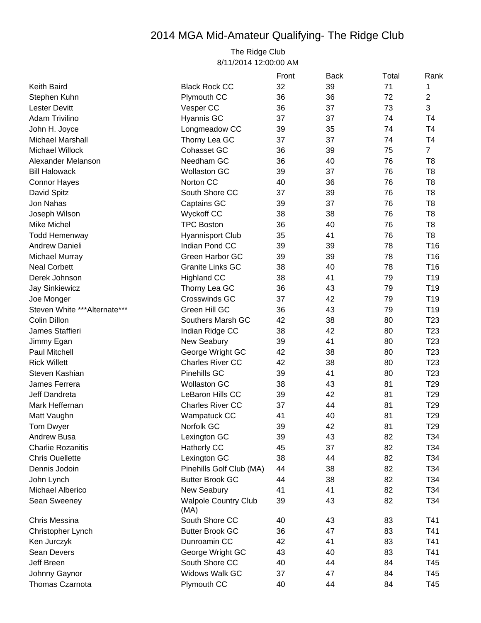## 2014 MGA Mid-Amateur Qualifying- The Ridge Club

The Ridge Club 8/11/2014 12:00:00 AM

|                               |                                     | Front | <b>Back</b> | Total | Rank            |
|-------------------------------|-------------------------------------|-------|-------------|-------|-----------------|
| <b>Keith Baird</b>            | <b>Black Rock CC</b>                | 32    | 39          | 71    | 1               |
| Stephen Kuhn                  | Plymouth CC                         | 36    | 36          | 72    | 2               |
| <b>Lester Devitt</b>          | Vesper CC                           | 36    | 37          | 73    | 3               |
| Adam Trivilino                | Hyannis GC                          | 37    | 37          | 74    | T <sub>4</sub>  |
| John H. Joyce                 | Longmeadow CC                       | 39    | 35          | 74    | T4              |
| <b>Michael Marshall</b>       | Thorny Lea GC                       | 37    | 37          | 74    | T4              |
| <b>Michael Willock</b>        | Cohasset GC                         | 36    | 39          | 75    | $\overline{7}$  |
| Alexander Melanson            | Needham GC                          | 36    | 40          | 76    | T <sub>8</sub>  |
| <b>Bill Halowack</b>          | <b>Wollaston GC</b>                 | 39    | 37          | 76    | T <sub>8</sub>  |
| <b>Connor Hayes</b>           | Norton CC                           | 40    | 36          | 76    | T <sub>8</sub>  |
| David Spitz                   | South Shore CC                      | 37    | 39          | 76    | T <sub>8</sub>  |
| Jon Nahas                     | Captains GC                         | 39    | 37          | 76    | T <sub>8</sub>  |
| Joseph Wilson                 | <b>Wyckoff CC</b>                   | 38    | 38          | 76    | T <sub>8</sub>  |
| <b>Mike Michel</b>            | <b>TPC Boston</b>                   | 36    | 40          | 76    | T <sub>8</sub>  |
| <b>Todd Hemenway</b>          | <b>Hyannisport Club</b>             | 35    | 41          | 76    | T <sub>8</sub>  |
| Andrew Danieli                | Indian Pond CC                      | 39    | 39          | 78    | T <sub>16</sub> |
| Michael Murray                | Green Harbor GC                     | 39    | 39          | 78    | T <sub>16</sub> |
| <b>Neal Corbett</b>           | <b>Granite Links GC</b>             | 38    | 40          | 78    | T <sub>16</sub> |
| Derek Johnson                 | <b>Highland CC</b>                  | 38    | 41          | 79    | T <sub>19</sub> |
| <b>Jay Sinkiewicz</b>         | Thorny Lea GC                       | 36    | 43          | 79    | T <sub>19</sub> |
| Joe Monger                    | <b>Crosswinds GC</b>                | 37    | 42          | 79    | T <sub>19</sub> |
| Steven White *** Alternate*** | Green Hill GC                       | 36    | 43          | 79    | T <sub>19</sub> |
| Colin Dillon                  | Southers Marsh GC                   | 42    | 38          | 80    | T <sub>23</sub> |
| James Staffieri               | Indian Ridge CC                     | 38    | 42          | 80    | T <sub>23</sub> |
| Jimmy Egan                    | New Seabury                         | 39    | 41          | 80    | T <sub>23</sub> |
| Paul Mitchell                 | George Wright GC                    | 42    | 38          | 80    | T <sub>23</sub> |
| <b>Rick Willett</b>           | <b>Charles River CC</b>             | 42    | 38          | 80    | T <sub>23</sub> |
| Steven Kashian                | Pinehills GC                        | 39    | 41          | 80    | T <sub>23</sub> |
| James Ferrera                 | <b>Wollaston GC</b>                 | 38    | 43          | 81    | T <sub>29</sub> |
| Jeff Dandreta                 | LeBaron Hills CC                    | 39    | 42          | 81    | T <sub>29</sub> |
| Mark Heffernan                | <b>Charles River CC</b>             | 37    | 44          | 81    | T <sub>29</sub> |
| Matt Vaughn                   | Wampatuck CC                        | 41    | 40          | 81    | T <sub>29</sub> |
| Tom Dwyer                     | Norfolk GC                          | 39    | 42          | 81    | T <sub>29</sub> |
| Andrew Busa                   | Lexington GC                        | 39    | 43          | 82    | T34             |
| <b>Charlie Rozanitis</b>      | Hatherly CC                         | 45    | 37          | 82    | T34             |
| <b>Chris Ouellette</b>        | Lexington GC                        | 38    | 44          | 82    | T34             |
| Dennis Jodoin                 | Pinehills Golf Club (MA)            | 44    | 38          | 82    | T34             |
| John Lynch                    | <b>Butter Brook GC</b>              | 44    | 38          | 82    | T34             |
| Michael Alberico              | New Seabury                         | 41    | 41          | 82    | T34             |
| Sean Sweeney                  | <b>Walpole Country Club</b><br>(MA) | 39    | 43          | 82    | T34             |
| Chris Messina                 | South Shore CC                      | 40    | 43          | 83    | T41             |
| Christopher Lynch             | <b>Butter Brook GC</b>              | 36    | 47          | 83    | T41             |
| Ken Jurczyk                   | Dunroamin CC                        | 42    | 41          | 83    | T41             |
| Sean Devers                   | George Wright GC                    | 43    | 40          | 83    | T41             |
| Jeff Breen                    | South Shore CC                      | 40    | 44          | 84    | T45             |
| Johnny Gaynor                 | <b>Widows Walk GC</b>               | 37    | 47          | 84    | T45             |
| Thomas Czarnota               | Plymouth CC                         | 40    | 44          | 84    | T45             |